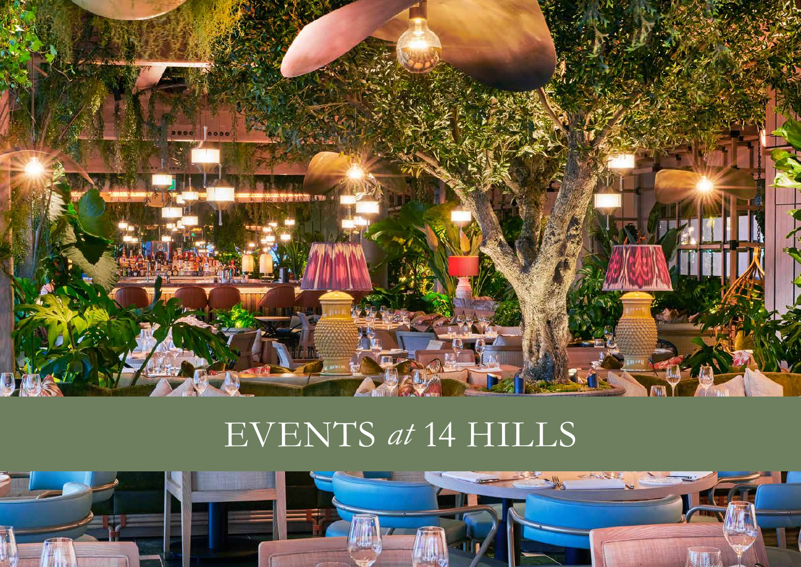

# EVENTS *at* 14 Hills

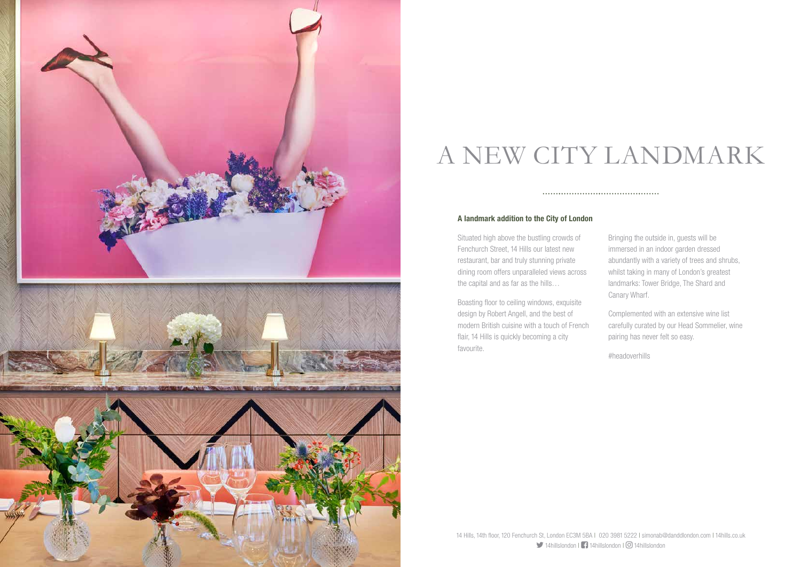#### A landmark addition to the City of London

Situated high above the bustling crowds of Fenchurch Street, 14 Hills our latest new restaurant, bar and truly stunning private dining room offers unparalleled views across the capital and as far as the hills…

Boasting floor to ceiling windows, exquisite design by Robert Angell, and the best of modern British cuisine with a touch of French flair, 14 Hills is quickly becoming a city favourite.

Bringing the outside in, guests will be immersed in an indoor garden dressed abundantly with a variety of trees and shrubs, whilst taking in many of London's greatest landmarks: Tower Bridge, The Shard and Canary Wharf.

Complemented with an extensive wine list carefully curated by our Head Sommelier, wine pairing has never felt so easy.

#headoverhills



## A NEW CITY LANDMARK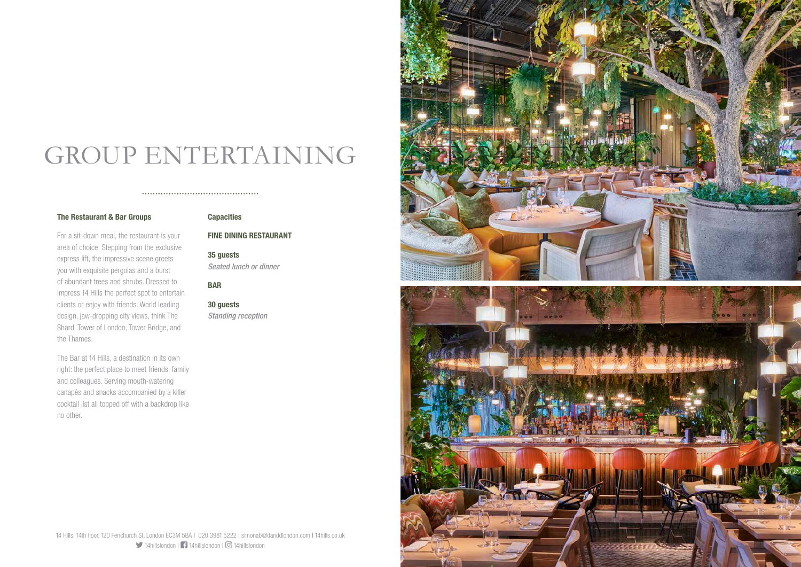## GROUP ENTERTAINING

#### The Restaurant & Bar Groups

For a sit-down meal, the restaurant is your area of choice. Stepping from the exclusive express lift, the impressive scene greets you with exquisite pergolas and a burst of abundant trees and shrubs. Dressed to impress 14 Hills the perfect spot to entertain clients or enjoy with friends. World leading design, jaw-dropping city views, think The Shard, Tower of London, Tower Bridge, and the Thames.

The Bar at 14 Hills, a destination in its own right: the perfect place to meet friends, family and colleagues. Serving mouth-watering canapés and snacks accompanied by a killer cocktail list all topped off with a backdrop like no other.

### **Capacities**

#### FINE DINING RESTAURANT

35 guests *Seated lunch or dinner*

BAR

30 guests *Standing reception*



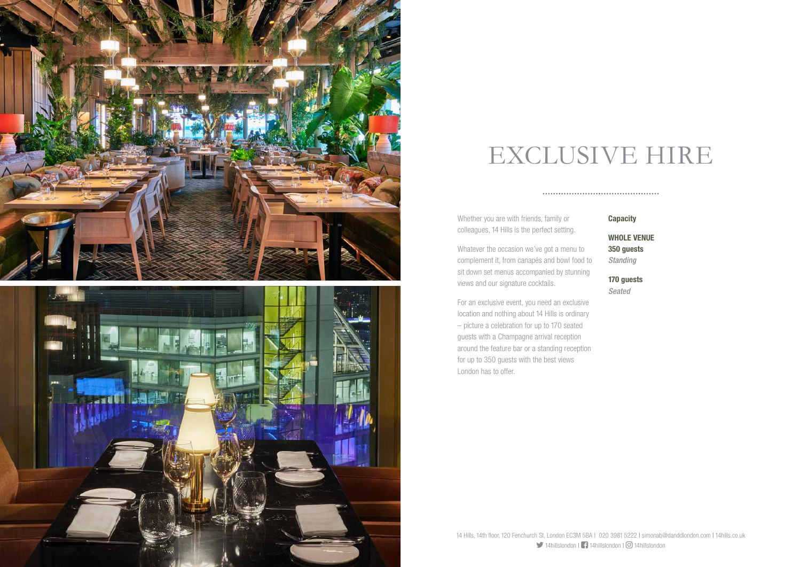**Capacity** 

Whether you are with friends, family or colleagues, 14 Hills is the perfect setting.

Whatever the occasion we've got a menu to complement it, from canapés and bowl food to sit down set menus accompanied by stunning views and our signature cocktails.

For an exclusive event, you need an exclusive location and nothing about 14 Hills is ordinary – picture a celebration for up to 170 seated guests with a Champagne arrival reception around the feature bar or a standing reception for up to 350 guests with the best views London has to offer.

WHOLE VENUE 350 guests

*Standing*

170 guests

*Seated*



### EXCLUSIVE HIRE

####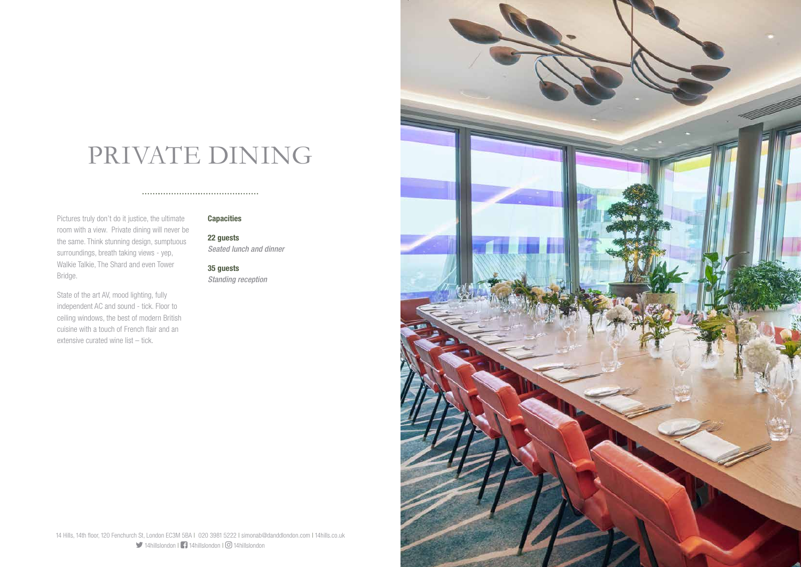14 Hills, 14th floor, 120 Fenchurch St, London EC3M 5BA | 020 3981 5222 | simonab@danddlondon.com | 14hills.co.uk 14hillslondon | 14hillslondon | 14hillslondon



### PRIVATE DINING

Pictures truly don't do it justice, the ultimate room with a view. Private dining will never be the same. Think stunning design, sumptuous surroundings, breath taking views - yep, Walkie Talkie, The Shard and even Tower Bridge.

State of the art AV, mood lighting, fully independent AC and sound - tick. Floor to ceiling windows, the best of modern British cuisine with a touch of French flair and an extensive curated wine list – tick.

#### Capacities

22 guests *Seated lunch and dinner*

35 guests *Standing reception*